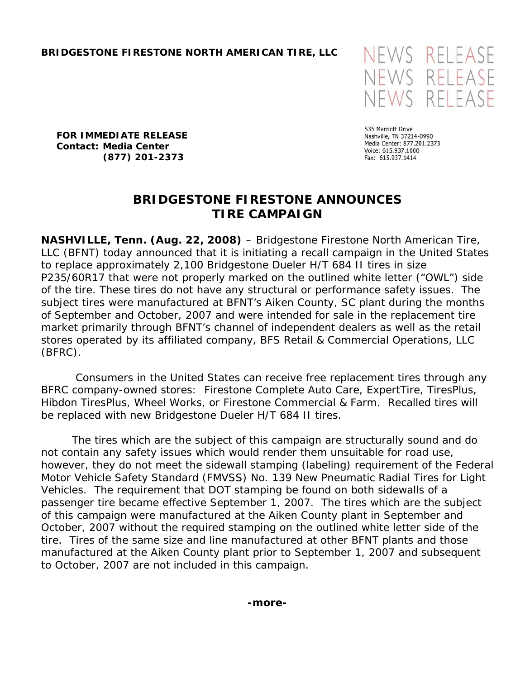

**FOR IMMEDIATE RELEASE Contact: Media Center (877) 201-2373** 

535 Marriott Drive Nashville, TN 37214-0990 Media Center: 877.201.2373 Voice: 615.937.1000 Fax: 615.937.1414

# **BRIDGESTONE FIRESTONE ANNOUNCES TIRE CAMPAIGN**

**NASHVILLE, Tenn. (Aug. 22, 2008)** – Bridgestone Firestone North American Tire, LLC (BFNT) today announced that it is initiating a recall campaign in the United States to replace approximately 2,100 Bridgestone Dueler H/T 684 II tires in size P235/60R17 that were not properly marked on the outlined white letter ("OWL") side of the tire. These tires do not have any structural or performance safety issues. The subject tires were manufactured at BFNT's Aiken County, SC plant during the months of September and October, 2007 and were intended for sale in the replacement tire market primarily through BFNT's channel of independent dealers as well as the retail stores operated by its affiliated company, BFS Retail & Commercial Operations, LLC (BFRC).

 Consumers in the United States can receive free replacement tires through any BFRC company-owned stores: Firestone Complete Auto Care, ExpertTire, TiresPlus, Hibdon TiresPlus, Wheel Works, or Firestone Commercial & Farm. Recalled tires will be replaced with new Bridgestone Dueler H/T 684 II tires.

The tires which are the subject of this campaign are structurally sound and do not contain any safety issues which would render them unsuitable for road use, however, they do not meet the sidewall stamping (labeling) requirement of the Federal Motor Vehicle Safety Standard (FMVSS) No. 139 *New Pneumatic Radial Tires for Light Vehicles.* The requirement that DOT stamping be found on both sidewalls of a passenger tire became effective September 1, 2007. The tires which are the subject of this campaign were manufactured at the Aiken County plant in September and October, 2007 without the required stamping on the outlined white letter side of the tire. Tires of the same size and line manufactured at other BFNT plants and those manufactured at the Aiken County plant prior to September 1, 2007 and subsequent to October, 2007 are not included in this campaign.

**-more-**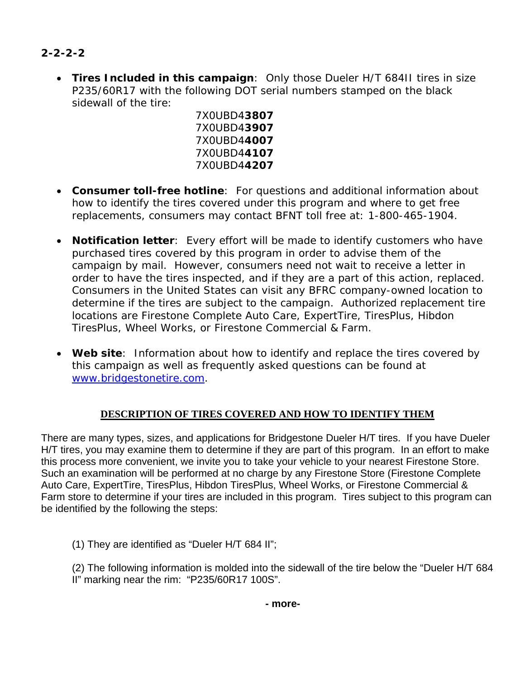# **2-2-2-2**

• **Tires Included in this campaign**: Only those Dueler H/T 684II tires in size P235/60R17 with the following DOT serial numbers stamped on the black sidewall of the tire:

7X0UBD4**3807**  7X0UBD4**3907**  7X0UBD4**4007**  7X0UBD4**4107**  7X0UBD4**4207** 

- **Consumer toll-free hotline**: For questions and additional information about how to identify the tires covered under this program and where to get free replacements, consumers may contact BFNT toll free at: 1-800-465-1904.
- **Notification letter**: Every effort will be made to identify customers who have purchased tires covered by this program in order to advise them of the campaign by mail. However, consumers need not wait to receive a letter in order to have the tires inspected, and if they are a part of this action, replaced. Consumers in the United States can visit any BFRC company-owned location to determine if the tires are subject to the campaign. Authorized replacement tire locations are Firestone Complete Auto Care, ExpertTire, TiresPlus, Hibdon TiresPlus, Wheel Works, or Firestone Commercial & Farm.
- **Web site**: Information about how to identify and replace the tires covered by this campaign as well as frequently asked questions can be found at [www.bridgestonetire.com.](http://www.bridgestonetire.com/)

# **DESCRIPTION OF TIRES COVERED AND HOW TO IDENTIFY THEM**

There are many types, sizes, and applications for Bridgestone Dueler H/T tires. If you have Dueler H/T tires, you may examine them to determine if they are part of this program. In an effort to make this process more convenient, we invite you to take your vehicle to your nearest Firestone Store. Such an examination will be performed at no charge by any Firestone Store (Firestone Complete Auto Care, ExpertTire, TiresPlus, Hibdon TiresPlus, Wheel Works, or Firestone Commercial & Farm store to determine if your tires are included in this program. Tires subject to this program can be identified by the following the steps:

(1) They are identified as "Dueler H/T 684 II";

(2) The following information is molded into the sidewall of the tire below the "Dueler H/T 684 II" marking near the rim: "P235/60R17 100S".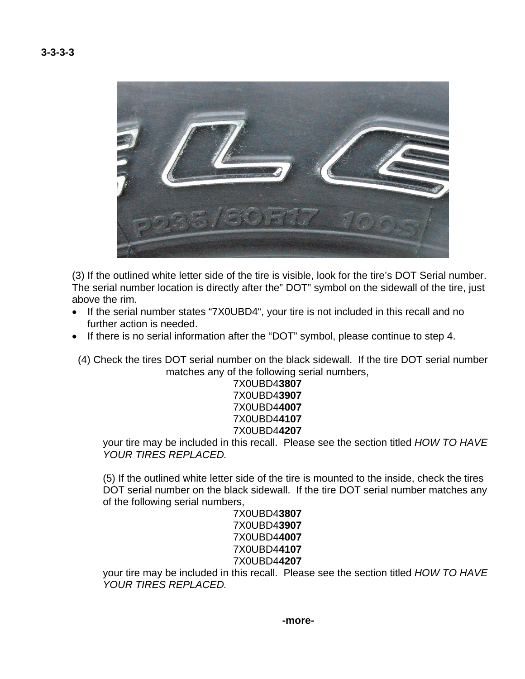**3-3-3-3** 



(3) If the outlined white letter side of the tire is visible, look for the tire's DOT Serial number. The serial number location is directly after the" DOT" symbol on the sidewall of the tire, just above the rim.

- If the serial number states "7X0UBD4", your tire is not included in this recall and no further action is needed.
- If there is no serial information after the "DOT" symbol, please continue to step 4.
	- (4) Check the tires DOT serial number on the black sidewall. If the tire DOT serial number matches any of the following serial numbers,

### 7X0UBD4**3807** 7X0UBD4**3907** 7X0UBD4**4007** 7X0UBD4**4107** 7X0UBD4**4207**

your tire may be included in this recall. Please see the section titled *HOW TO HAVE YOUR TIRES REPLACED.* 

(5) If the outlined white letter side of the tire is mounted to the inside, check the tires DOT serial number on the black sidewall. If the tire DOT serial number matches any of the following serial numbers,

#### 7X0UBD4**3807** 7X0UBD4**3907** 7X0UBD4**4007** 7X0UBD4**4107** 7X0UBD4**4207**

your tire may be included in this recall. Please see the section titled *HOW TO HAVE YOUR TIRES REPLACED.*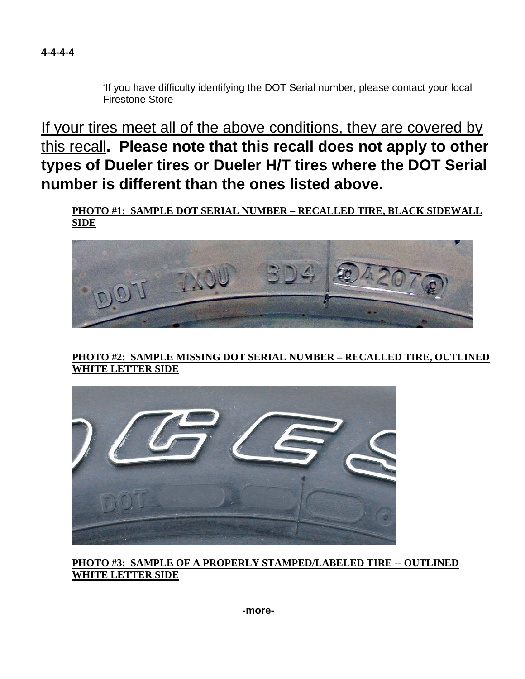

'If you have difficulty identifying the DOT Serial number, please contact your local Firestone Store

If your tires meet all of the above conditions, they are covered by this recall**. Please note that this recall does not apply to other types of Dueler tires or Dueler H/T tires where the DOT Serial number is different than the ones listed above.**

**PHOTO #1: SAMPLE DOT SERIAL NUMBER – RECALLED TIRE, BLACK SIDEWALL SIDE**



**PHOTO #2: SAMPLE MISSING DOT SERIAL NUMBER – RECALLED TIRE, OUTLINED WHITE LETTER SIDE** 



**PHOTO #3: SAMPLE OF A PROPERLY STAMPED/LABELED TIRE -- OUTLINED WHITE LETTER SIDE**

**-more-**